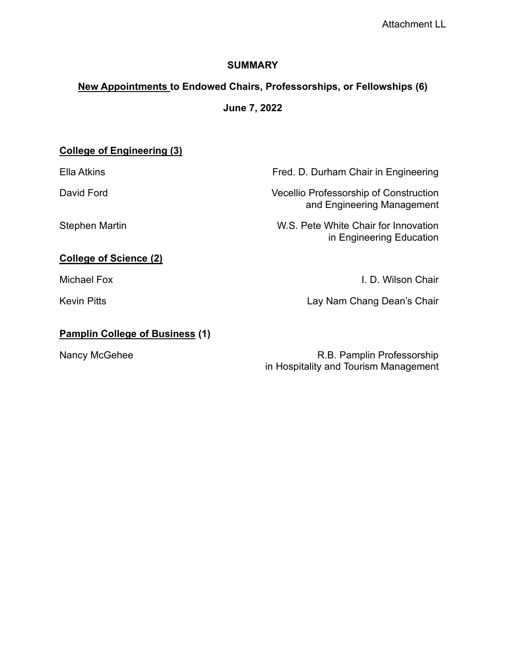### **SUMMARY**

# **New Appointments to Endowed Chairs, Professorships, or Fellowships (6)**

**June 7, 2022**

# **College of Engineering (3)**

Ella Atkins Fred. D. Durham Chair in Engineering

David Ford Vecellio Professorship of Construction and Engineering Management

Stephen Martin **Martin Chair Chair Formulation** W.S. Pete White Chair for Innovation in Engineering Education

## **College of Science (2)**

Michael Fox I. D. Wilson Chair

Kevin Pitts **Lay Nam Chang Dean's Chair** 

### **Pamplin College of Business (1)**

Nancy McGehee R.B. Pamplin Professorship in Hospitality and Tourism Management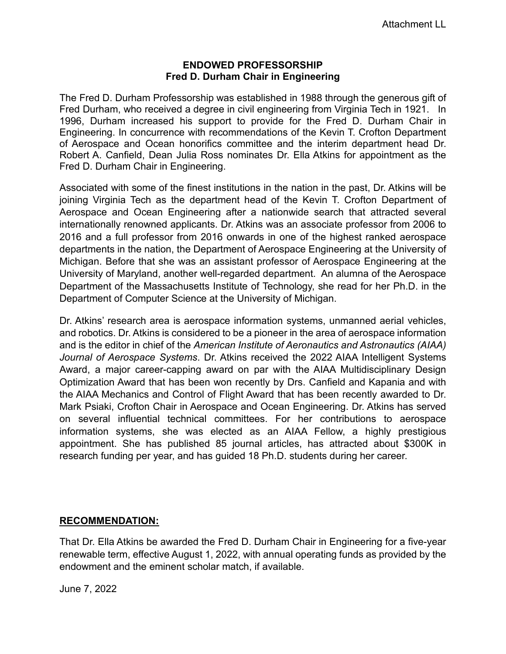#### **ENDOWED PROFESSORSHIP Fred D. Durham Chair in Engineering**

The Fred D. Durham Professorship was established in 1988 through the generous gift of Fred Durham, who received a degree in civil engineering from Virginia Tech in 1921. In 1996, Durham increased his support to provide for the Fred D. Durham Chair in Engineering. In concurrence with recommendations of the Kevin T. Crofton Department of Aerospace and Ocean honorifics committee and the interim department head Dr. Robert A. Canfield, Dean Julia Ross nominates Dr. Ella Atkins for appointment as the Fred D. Durham Chair in Engineering.

Associated with some of the finest institutions in the nation in the past, Dr. Atkins will be joining Virginia Tech as the department head of the Kevin T. Crofton Department of Aerospace and Ocean Engineering after a nationwide search that attracted several internationally renowned applicants. Dr. Atkins was an associate professor from 2006 to 2016 and a full professor from 2016 onwards in one of the highest ranked aerospace departments in the nation, the Department of Aerospace Engineering at the University of Michigan. Before that she was an assistant professor of Aerospace Engineering at the University of Maryland, another well-regarded department. An alumna of the Aerospace Department of the Massachusetts Institute of Technology, she read for her Ph.D. in the Department of Computer Science at the University of Michigan.

Dr. Atkins' research area is aerospace information systems, unmanned aerial vehicles, and robotics. Dr. Atkins is considered to be a pioneer in the area of aerospace information and is the editor in chief of the *American Institute of Aeronautics and Astronautics (AIAA) Journal of Aerospace Systems*. Dr. Atkins received the 2022 AIAA Intelligent Systems Award, a major career-capping award on par with the AIAA Multidisciplinary Design Optimization Award that has been won recently by Drs. Canfield and Kapania and with the AIAA Mechanics and Control of Flight Award that has been recently awarded to Dr. Mark Psiaki, Crofton Chair in Aerospace and Ocean Engineering. Dr. Atkins has served on several influential technical committees. For her contributions to aerospace information systems, she was elected as an AIAA Fellow, a highly prestigious appointment. She has published 85 journal articles, has attracted about \$300K in research funding per year, and has guided 18 Ph.D. students during her career.

### **RECOMMENDATION:**

That Dr. Ella Atkins be awarded the Fred D. Durham Chair in Engineering for a five-year renewable term, effective August 1, 2022, with annual operating funds as provided by the endowment and the eminent scholar match, if available.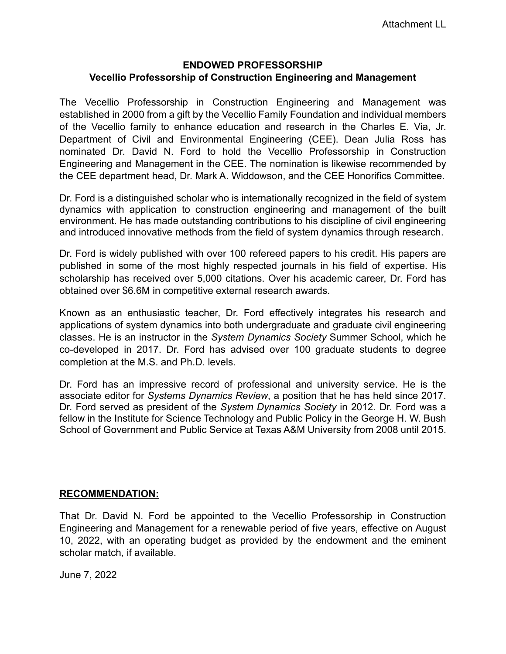# **ENDOWED PROFESSORSHIP Vecellio Professorship of Construction Engineering and Management**

The Vecellio Professorship in Construction Engineering and Management was established in 2000 from a gift by the Vecellio Family Foundation and individual members of the Vecellio family to enhance education and research in the Charles E. Via, Jr. Department of Civil and Environmental Engineering (CEE). Dean Julia Ross has nominated Dr. David N. Ford to hold the Vecellio Professorship in Construction Engineering and Management in the CEE. The nomination is likewise recommended by the CEE department head, Dr. Mark A. Widdowson, and the CEE Honorifics Committee.

Dr. Ford is a distinguished scholar who is internationally recognized in the field of system dynamics with application to construction engineering and management of the built environment. He has made outstanding contributions to his discipline of civil engineering and introduced innovative methods from the field of system dynamics through research.

Dr. Ford is widely published with over 100 refereed papers to his credit. His papers are published in some of the most highly respected journals in his field of expertise. His scholarship has received over 5,000 citations. Over his academic career, Dr. Ford has obtained over \$6.6M in competitive external research awards.

Known as an enthusiastic teacher, Dr. Ford effectively integrates his research and applications of system dynamics into both undergraduate and graduate civil engineering classes. He is an instructor in the *System Dynamics Society* Summer School, which he co-developed in 2017. Dr. Ford has advised over 100 graduate students to degree completion at the M.S. and Ph.D. levels.

Dr. Ford has an impressive record of professional and university service. He is the associate editor for *Systems Dynamics Review*, a position that he has held since 2017. Dr. Ford served as president of the *System Dynamics Society* in 2012. Dr. Ford was a fellow in the Institute for Science Technology and Public Policy in the George H. W. Bush School of Government and Public Service at Texas A&M University from 2008 until 2015.

# **RECOMMENDATION:**

That Dr. David N. Ford be appointed to the Vecellio Professorship in Construction Engineering and Management for a renewable period of five years, effective on August 10, 2022, with an operating budget as provided by the endowment and the eminent scholar match, if available.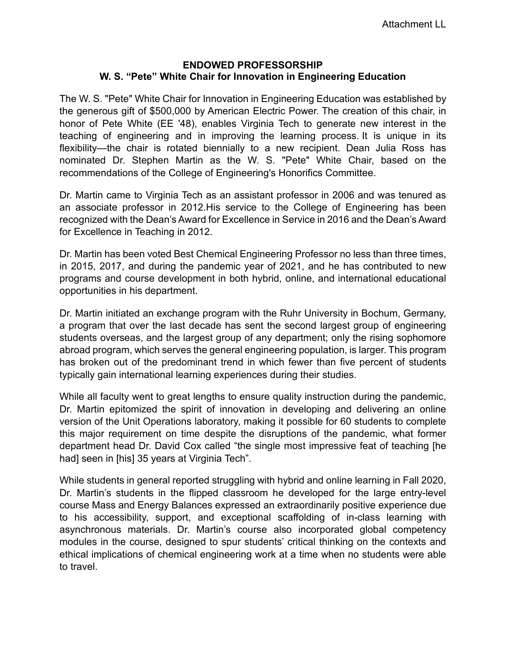### **ENDOWED PROFESSORSHIP W. S. "Pete" White Chair for Innovation in Engineering Education**

The W. S. "Pete" White Chair for Innovation in Engineering Education was established by the generous gift of \$500,000 by American Electric Power. The creation of this chair, in honor of Pete White (EE '48), enables Virginia Tech to generate new interest in the teaching of engineering and in improving the learning process. It is unique in its flexibility—the chair is rotated biennially to a new recipient. Dean Julia Ross has nominated Dr. Stephen Martin as the W. S. "Pete" White Chair, based on the recommendations of the College of Engineering's Honorifics Committee.

Dr. Martin came to Virginia Tech as an assistant professor in 2006 and was tenured as an associate professor in 2012.His service to the College of Engineering has been recognized with the Dean's Award for Excellence in Service in 2016 and the Dean's Award for Excellence in Teaching in 2012.

Dr. Martin has been voted Best Chemical Engineering Professor no less than three times, in 2015, 2017, and during the pandemic year of 2021, and he has contributed to new programs and course development in both hybrid, online, and international educational opportunities in his department.

Dr. Martin initiated an exchange program with the Ruhr University in Bochum, Germany, a program that over the last decade has sent the second largest group of engineering students overseas, and the largest group of any department; only the rising sophomore abroad program, which serves the general engineering population, is larger. This program has broken out of the predominant trend in which fewer than five percent of students typically gain international learning experiences during their studies.

While all faculty went to great lengths to ensure quality instruction during the pandemic, Dr. Martin epitomized the spirit of innovation in developing and delivering an online version of the Unit Operations laboratory, making it possible for 60 students to complete this major requirement on time despite the disruptions of the pandemic, what former department head Dr. David Cox called "the single most impressive feat of teaching [he had] seen in [his] 35 years at Virginia Tech".

While students in general reported struggling with hybrid and online learning in Fall 2020, Dr. Martin's students in the flipped classroom he developed for the large entry-level course Mass and Energy Balances expressed an extraordinarily positive experience due to his accessibility, support, and exceptional scaffolding of in-class learning with asynchronous materials. Dr. Martin's course also incorporated global competency modules in the course, designed to spur students' critical thinking on the contexts and ethical implications of chemical engineering work at a time when no students were able to travel.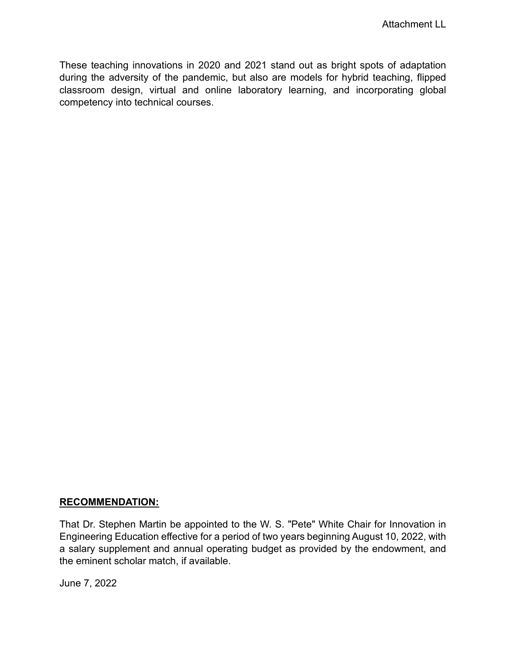These teaching innovations in 2020 and 2021 stand out as bright spots of adaptation during the adversity of the pandemic, but also are models for hybrid teaching, flipped classroom design, virtual and online laboratory learning, and incorporating global competency into technical courses.

### **RECOMMENDATION:**

That Dr. Stephen Martin be appointed to the W. S. "Pete" White Chair for Innovation in Engineering Education effective for a period of two years beginning August 10, 2022, with a salary supplement and annual operating budget as provided by the endowment, and the eminent scholar match, if available.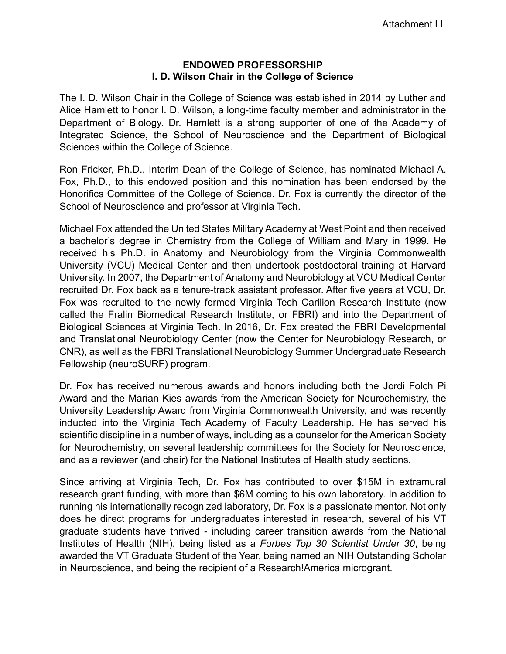#### **ENDOWED PROFESSORSHIP I. D. Wilson Chair in the College of Science**

The I. D. Wilson Chair in the College of Science was established in 2014 by Luther and Alice Hamlett to honor I. D. Wilson, a long-time faculty member and administrator in the Department of Biology. Dr. Hamlett is a strong supporter of one of the Academy of Integrated Science, the School of Neuroscience and the Department of Biological Sciences within the College of Science.

Ron Fricker, Ph.D., Interim Dean of the College of Science, has nominated Michael A. Fox, Ph.D., to this endowed position and this nomination has been endorsed by the Honorifics Committee of the College of Science. Dr. Fox is currently the director of the School of Neuroscience and professor at Virginia Tech.

Michael Fox attended the United States Military Academy at West Point and then received a bachelor's degree in Chemistry from the College of William and Mary in 1999. He received his Ph.D. in Anatomy and Neurobiology from the Virginia Commonwealth University (VCU) Medical Center and then undertook postdoctoral training at Harvard University. In 2007, the Department of Anatomy and Neurobiology at VCU Medical Center recruited Dr. Fox back as a tenure-track assistant professor. After five years at VCU, Dr. Fox was recruited to the newly formed Virginia Tech Carilion Research Institute (now called the Fralin Biomedical Research Institute, or FBRI) and into the Department of Biological Sciences at Virginia Tech. In 2016, Dr. Fox created the FBRI Developmental and Translational Neurobiology Center (now the Center for Neurobiology Research, or CNR), as well as the FBRI Translational Neurobiology Summer Undergraduate Research Fellowship (neuroSURF) program.

Dr. Fox has received numerous awards and honors including both the Jordi Folch Pi Award and the Marian Kies awards from the American Society for Neurochemistry, the University Leadership Award from Virginia Commonwealth University, and was recently inducted into the Virginia Tech Academy of Faculty Leadership. He has served his scientific discipline in a number of ways, including as a counselor for the American Society for Neurochemistry, on several leadership committees for the Society for Neuroscience, and as a reviewer (and chair) for the National Institutes of Health study sections.

Since arriving at Virginia Tech, Dr. Fox has contributed to over \$15M in extramural research grant funding, with more than \$6M coming to his own laboratory. In addition to running his internationally recognized laboratory, Dr. Fox is a passionate mentor. Not only does he direct programs for undergraduates interested in research, several of his VT graduate students have thrived - including career transition awards from the National Institutes of Health (NIH), being listed as a *Forbes Top 30 Scientist Under 30*, being awarded the VT Graduate Student of the Year, being named an NIH Outstanding Scholar in Neuroscience, and being the recipient of a Research!America microgrant.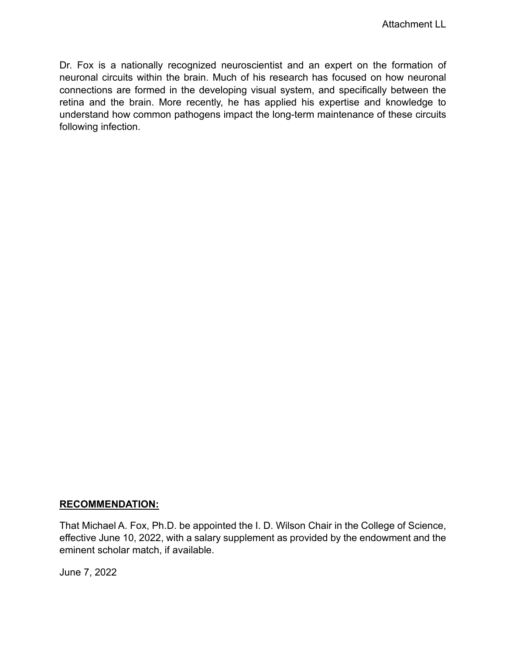Dr. Fox is a nationally recognized neuroscientist and an expert on the formation of neuronal circuits within the brain. Much of his research has focused on how neuronal connections are formed in the developing visual system, and specifically between the retina and the brain. More recently, he has applied his expertise and knowledge to understand how common pathogens impact the long-term maintenance of these circuits following infection.

### **RECOMMENDATION:**

That Michael A. Fox, Ph.D. be appointed the I. D. Wilson Chair in the College of Science, effective June 10, 2022, with a salary supplement as provided by the endowment and the eminent scholar match, if available.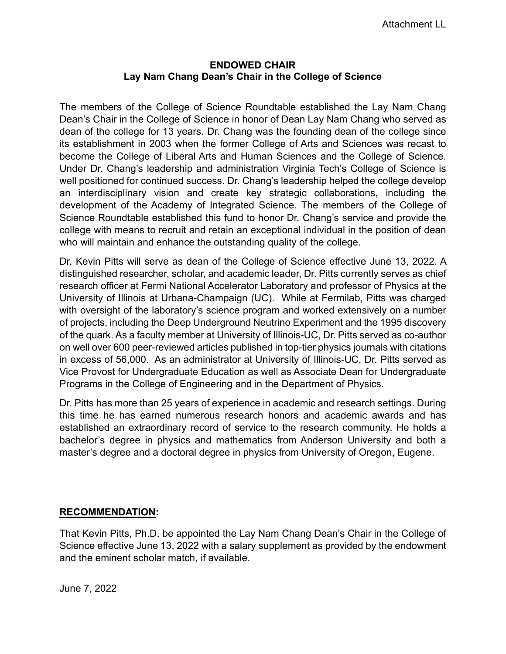#### **ENDOWED CHAIR Lay Nam Chang Dean's Chair in the College of Science**

The members of the College of Science Roundtable established the Lay Nam Chang Dean's Chair in the College of Science in honor of Dean Lay Nam Chang who served as dean of the college for 13 years. Dr. Chang was the founding dean of the college since its establishment in 2003 when the former College of Arts and Sciences was recast to become the College of Liberal Arts and Human Sciences and the College of Science. Under Dr. Chang's leadership and administration Virginia Tech's College of Science is well positioned for continued success. Dr. Chang's leadership helped the college develop an interdisciplinary vision and create key strategic collaborations, including the development of the Academy of Integrated Science. The members of the College of Science Roundtable established this fund to honor Dr. Chang's service and provide the college with means to recruit and retain an exceptional individual in the position of dean who will maintain and enhance the outstanding quality of the college.

Dr. Kevin Pitts will serve as dean of the College of Science effective June 13, 2022. A distinguished researcher, scholar, and academic leader, Dr. Pitts currently serves as chief research officer at Fermi National Accelerator Laboratory and professor of Physics at the University of Illinois at Urbana-Champaign (UC). While at Fermilab, Pitts was charged with oversight of the laboratory's science program and worked extensively on a number of projects, including the Deep Underground Neutrino Experiment and the 1995 discovery of the quark. As a faculty member at University of Illinois-UC, Dr. Pitts served as co-author on well over 600 peer-reviewed articles published in top-tier physics journals with citations in excess of 56,000. As an administrator at University of Illinois-UC, Dr. Pitts served as Vice Provost for Undergraduate Education as well as Associate Dean for Undergraduate Programs in the College of Engineering and in the Department of Physics.

Dr. Pitts has more than 25 years of experience in academic and research settings. During this time he has earned numerous research honors and academic awards and has established an extraordinary record of service to the research community. He holds a bachelor's degree in physics and mathematics from Anderson University and both a master's degree and a doctoral degree in physics from University of Oregon, Eugene.

### **RECOMMENDATION:**

That Kevin Pitts, Ph.D. be appointed the Lay Nam Chang Dean's Chair in the College of Science effective June 13, 2022 with a salary supplement as provided by the endowment and the eminent scholar match, if available.